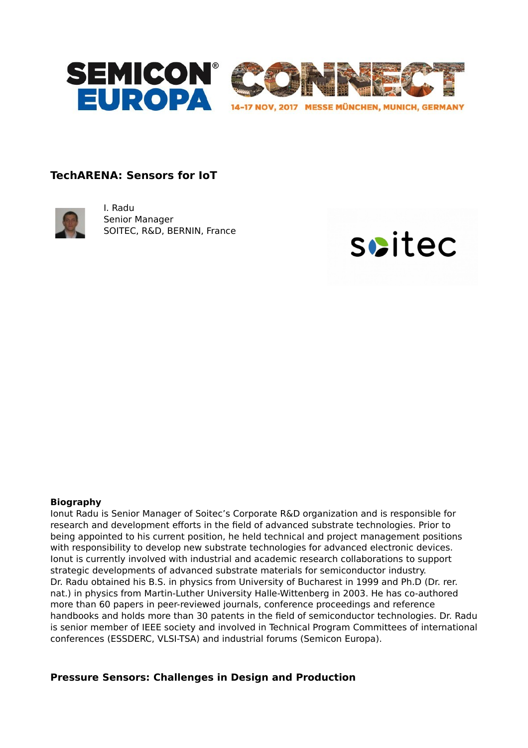

# **TechARENA: Sensors for IoT**



I. Radu Senior Manager SOITEC, R&D, BERNIN, France



#### **Biography**

Ionut Radu is Senior Manager of Soitec's Corporate R&D organization and is responsible for research and development efforts in the field of advanced substrate technologies. Prior to being appointed to his current position, he held technical and project management positions with responsibility to develop new substrate technologies for advanced electronic devices. Ionut is currently involved with industrial and academic research collaborations to support strategic developments of advanced substrate materials for semiconductor industry. Dr. Radu obtained his B.S. in physics from University of Bucharest in 1999 and Ph.D (Dr. rer. nat.) in physics from Martin-Luther University Halle-Wittenberg in 2003. He has co-authored more than 60 papers in peer-reviewed journals, conference proceedings and reference handbooks and holds more than 30 patents in the field of semiconductor technologies. Dr. Radu is senior member of IEEE society and involved in Technical Program Committees of international conferences (ESSDERC, VLSI-TSA) and industrial forums (Semicon Europa).

# **Pressure Sensors: Challenges in Design and Production**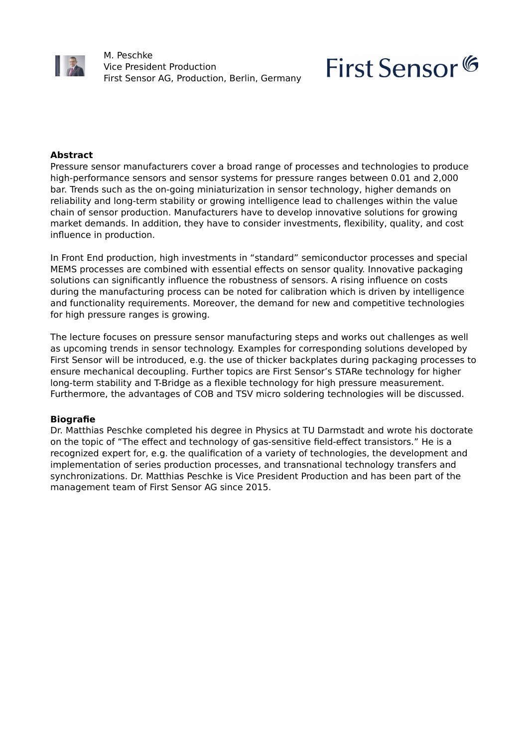

M. Peschke Vice President Production First Sensor AG, Production, Berlin, Germany

# First Sensor<sup>6</sup>

## **Abstract**

Pressure sensor manufacturers cover a broad range of processes and technologies to produce high-performance sensors and sensor systems for pressure ranges between 0.01 and 2,000 bar. Trends such as the on-going miniaturization in sensor technology, higher demands on reliability and long-term stability or growing intelligence lead to challenges within the value chain of sensor production. Manufacturers have to develop innovative solutions for growing market demands. In addition, they have to consider investments, flexibility, quality, and cost influence in production.

In Front End production, high investments in "standard" semiconductor processes and special MEMS processes are combined with essential effects on sensor quality. Innovative packaging solutions can significantly influence the robustness of sensors. A rising influence on costs during the manufacturing process can be noted for calibration which is driven by intelligence and functionality requirements. Moreover, the demand for new and competitive technologies for high pressure ranges is growing.

The lecture focuses on pressure sensor manufacturing steps and works out challenges as well as upcoming trends in sensor technology. Examples for corresponding solutions developed by First Sensor will be introduced, e.g. the use of thicker backplates during packaging processes to ensure mechanical decoupling. Further topics are First Sensor's STARe technology for higher long-term stability and T-Bridge as a flexible technology for high pressure measurement. Furthermore, the advantages of COB and TSV micro soldering technologies will be discussed.

## **Biografie**

Dr. Matthias Peschke completed his degree in Physics at TU Darmstadt and wrote his doctorate on the topic of "The effect and technology of gas-sensitive field-effect transistors." He is a recognized expert for, e.g. the qualification of a variety of technologies, the development and implementation of series production processes, and transnational technology transfers and synchronizations. Dr. Matthias Peschke is Vice President Production and has been part of the management team of First Sensor AG since 2015.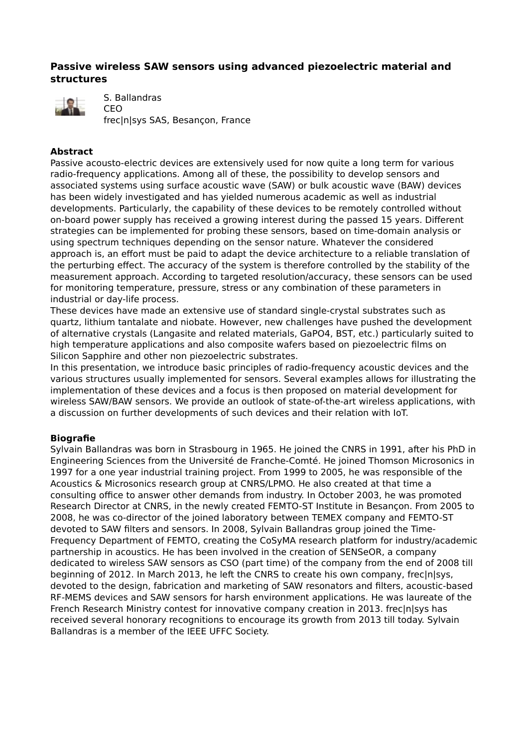# **Passive wireless SAW sensors using advanced piezoelectric material and structures**



S. Ballandras

CEO frec|n|sys SAS, Besançon, France

## **Abstract**

Passive acousto-electric devices are extensively used for now quite a long term for various radio-frequency applications. Among all of these, the possibility to develop sensors and associated systems using surface acoustic wave (SAW) or bulk acoustic wave (BAW) devices has been widely investigated and has yielded numerous academic as well as industrial developments. Particularly, the capability of these devices to be remotely controlled without on-board power supply has received a growing interest during the passed 15 years. Different strategies can be implemented for probing these sensors, based on time-domain analysis or using spectrum techniques depending on the sensor nature. Whatever the considered approach is, an effort must be paid to adapt the device architecture to a reliable translation of the perturbing effect. The accuracy of the system is therefore controlled by the stability of the measurement approach. According to targeted resolution/accuracy, these sensors can be used for monitoring temperature, pressure, stress or any combination of these parameters in industrial or day-life process.

These devices have made an extensive use of standard single-crystal substrates such as quartz, lithium tantalate and niobate. However, new challenges have pushed the development of alternative crystals (Langasite and related materials, GaPO4, BST, etc.) particularly suited to high temperature applications and also composite wafers based on piezoelectric films on Silicon Sapphire and other non piezoelectric substrates.

In this presentation, we introduce basic principles of radio-frequency acoustic devices and the various structures usually implemented for sensors. Several examples allows for illustrating the implementation of these devices and a focus is then proposed on material development for wireless SAW/BAW sensors. We provide an outlook of state-of-the-art wireless applications, with a discussion on further developments of such devices and their relation with IoT.

## **Biografie**

Sylvain Ballandras was born in Strasbourg in 1965. He joined the CNRS in 1991, after his PhD in Engineering Sciences from the Université de Franche-Comté. He joined Thomson Microsonics in 1997 for a one year industrial training project. From 1999 to 2005, he was responsible of the Acoustics & Microsonics research group at CNRS/LPMO. He also created at that time a consulting office to answer other demands from industry. In October 2003, he was promoted Research Director at CNRS, in the newly created FEMTO-ST Institute in Besançon. From 2005 to 2008, he was co-director of the joined laboratory between TEMEX company and FEMTO-ST devoted to SAW filters and sensors. In 2008, Sylvain Ballandras group joined the Time-Frequency Department of FEMTO, creating the CoSyMA research platform for industry/academic partnership in acoustics. He has been involved in the creation of SENSeOR, a company dedicated to wireless SAW sensors as CSO (part time) of the company from the end of 2008 till beginning of 2012. In March 2013, he left the CNRS to create his own company, frec|n|sys, devoted to the design, fabrication and marketing of SAW resonators and filters, acoustic-based RF-MEMS devices and SAW sensors for harsh environment applications. He was laureate of the French Research Ministry contest for innovative company creation in 2013. frec|n|sys has received several honorary recognitions to encourage its growth from 2013 till today. Sylvain Ballandras is a member of the IEEE UFFC Society.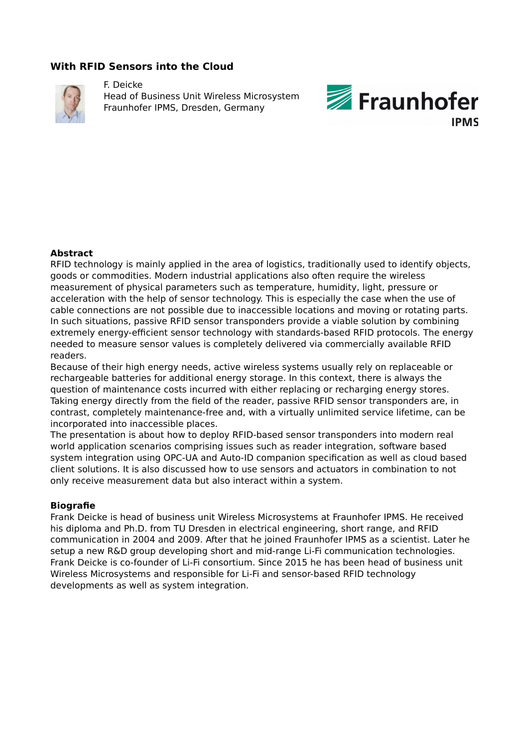# **With RFID Sensors into the Cloud**



F. Deicke Head of Business Unit Wireless Microsystem Fraunhofer IPMS, Dresden, Germany



#### **Abstract**

RFID technology is mainly applied in the area of logistics, traditionally used to identify objects, goods or commodities. Modern industrial applications also often require the wireless measurement of physical parameters such as temperature, humidity, light, pressure or acceleration with the help of sensor technology. This is especially the case when the use of cable connections are not possible due to inaccessible locations and moving or rotating parts. In such situations, passive RFID sensor transponders provide a viable solution by combining extremely energy-efficient sensor technology with standards-based RFID protocols. The energy needed to measure sensor values is completely delivered via commercially available RFID readers.

Because of their high energy needs, active wireless systems usually rely on replaceable or rechargeable batteries for additional energy storage. In this context, there is always the question of maintenance costs incurred with either replacing or recharging energy stores. Taking energy directly from the field of the reader, passive RFID sensor transponders are, in contrast, completely maintenance-free and, with a virtually unlimited service lifetime, can be incorporated into inaccessible places.

The presentation is about how to deploy RFID-based sensor transponders into modern real world application scenarios comprising issues such as reader integration, software based system integration using OPC-UA and Auto-ID companion specification as well as cloud based client solutions. It is also discussed how to use sensors and actuators in combination to not only receive measurement data but also interact within a system.

#### **Biografie**

Frank Deicke is head of business unit Wireless Microsystems at Fraunhofer IPMS. He received his diploma and Ph.D. from TU Dresden in electrical engineering, short range, and RFID communication in 2004 and 2009. After that he joined Fraunhofer IPMS as a scientist. Later he setup a new R&D group developing short and mid-range Li-Fi communication technologies. Frank Deicke is co-founder of Li-Fi consortium. Since 2015 he has been head of business unit Wireless Microsystems and responsible for Li-Fi and sensor-based RFID technology developments as well as system integration.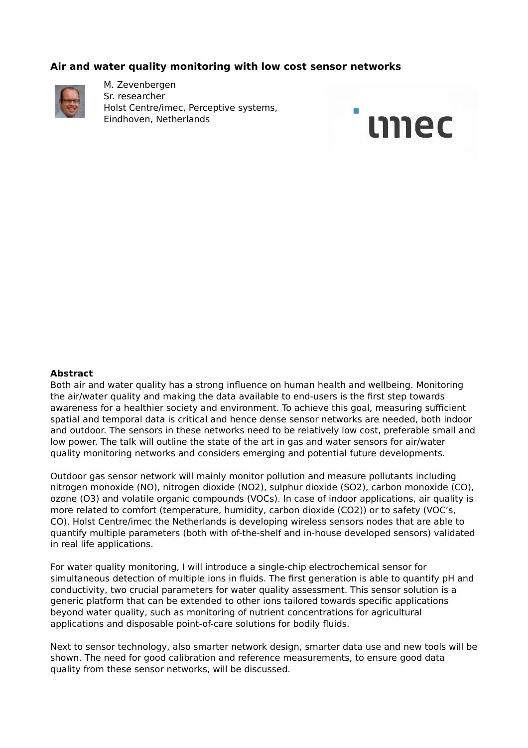## **Air and water quality monitoring with low cost sensor networks**



M. Zevenbergen Sr. researcher Holst Centre/imec, Perceptive systems, Eindhoven, Netherlands



#### **Abstract**

Both air and water quality has a strong influence on human health and wellbeing. Monitoring the air/water quality and making the data available to end-users is the first step towards awareness for a healthier society and environment. To achieve this goal, measuring sufficient spatial and temporal data is critical and hence dense sensor networks are needed, both indoor and outdoor. The sensors in these networks need to be relatively low cost, preferable small and low power. The talk will outline the state of the art in gas and water sensors for air/water quality monitoring networks and considers emerging and potential future developments.

Outdoor gas sensor network will mainly monitor pollution and measure pollutants including nitrogen monoxide (NO), nitrogen dioxide (NO2), sulphur dioxide (SO2), carbon monoxide (CO), ozone (O3) and volatile organic compounds (VOCs). In case of indoor applications, air quality is more related to comfort (temperature, humidity, carbon dioxide (CO2)) or to safety (VOC's, CO). Holst Centre/imec the Netherlands is developing wireless sensors nodes that are able to quantify multiple parameters (both with of-the-shelf and in-house developed sensors) validated in real life applications.

For water quality monitoring, I will introduce a single-chip electrochemical sensor for simultaneous detection of multiple ions in fluids. The first generation is able to quantify pH and conductivity, two crucial parameters for water quality assessment. This sensor solution is a generic platform that can be extended to other ions tailored towards specific applications beyond water quality, such as monitoring of nutrient concentrations for agricultural applications and disposable point-of-care solutions for bodily fluids.

Next to sensor technology, also smarter network design, smarter data use and new tools will be shown. The need for good calibration and reference measurements, to ensure good data quality from these sensor networks, will be discussed.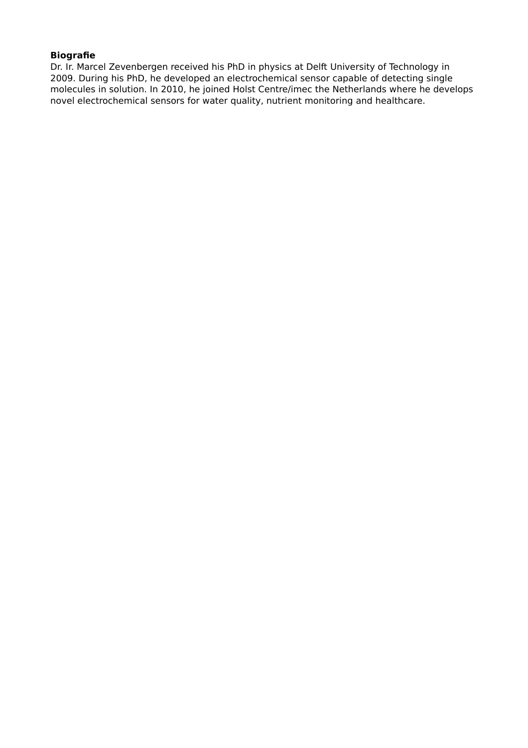# **Biografie**

Dr. Ir. Marcel Zevenbergen received his PhD in physics at Delft University of Technology in 2009. During his PhD, he developed an electrochemical sensor capable of detecting single molecules in solution. In 2010, he joined Holst Centre/imec the Netherlands where he develops novel electrochemical sensors for water quality, nutrient monitoring and healthcare.